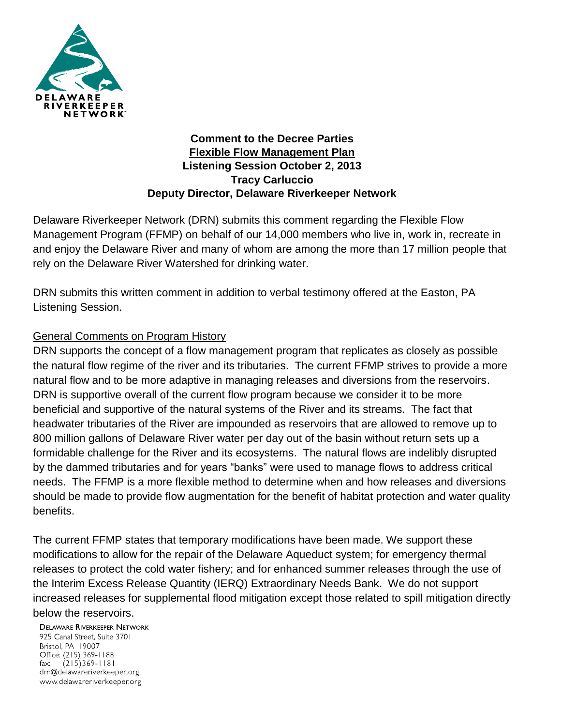

#### **Comment to the Decree Parties Flexible Flow Management Plan Listening Session October 2, 2013 Tracy Carluccio Deputy Director, Delaware Riverkeeper Network**

Delaware Riverkeeper Network (DRN) submits this comment regarding the Flexible Flow Management Program (FFMP) on behalf of our 14,000 members who live in, work in, recreate in and enjoy the Delaware River and many of whom are among the more than 17 million people that rely on the Delaware River Watershed for drinking water.

DRN submits this written comment in addition to verbal testimony offered at the Easton, PA Listening Session.

# General Comments on Program History

DRN supports the concept of a flow management program that replicates as closely as possible the natural flow regime of the river and its tributaries. The current FFMP strives to provide a more natural flow and to be more adaptive in managing releases and diversions from the reservoirs. DRN is supportive overall of the current flow program because we consider it to be more beneficial and supportive of the natural systems of the River and its streams. The fact that headwater tributaries of the River are impounded as reservoirs that are allowed to remove up to 800 million gallons of Delaware River water per day out of the basin without return sets up a formidable challenge for the River and its ecosystems. The natural flows are indelibly disrupted by the dammed tributaries and for years "banks" were used to manage flows to address critical needs. The FFMP is a more flexible method to determine when and how releases and diversions should be made to provide flow augmentation for the benefit of habitat protection and water quality benefits.

The current FFMP states that temporary modifications have been made. We support these modifications to allow for the repair of the Delaware Aqueduct system; for emergency thermal releases to protect the cold water fishery; and for enhanced summer releases through the use of the Interim Excess Release Quantity (IERQ) Extraordinary Needs Bank. We do not support increased releases for supplemental flood mitigation except those related to spill mitigation directly below the reservoirs.

**DELAWARE RIVERKEEPER NETWORK** 925 Canal Street, Suite 3701 Bristol, PA 19007 Office: (215) 369-1188 fax:  $(215)369 - 1181$ drn@delawareriverkeeper.org www.delawareriverkeeper.org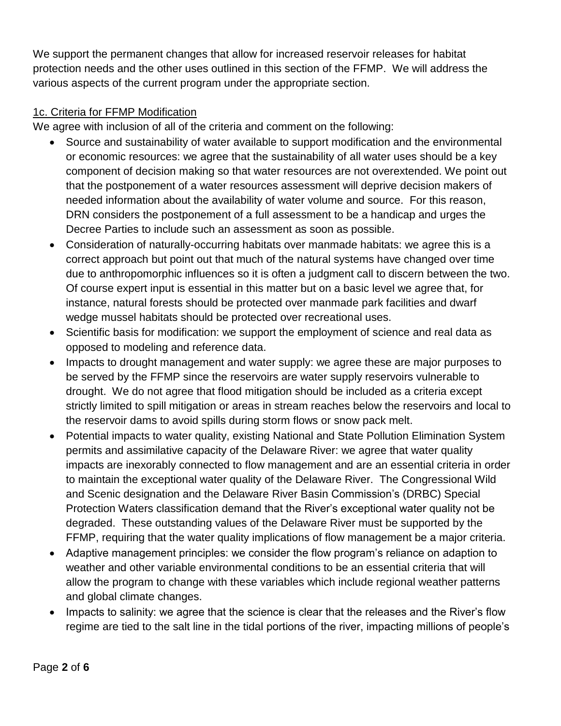We support the permanent changes that allow for increased reservoir releases for habitat protection needs and the other uses outlined in this section of the FFMP. We will address the various aspects of the current program under the appropriate section.

### 1c. Criteria for FFMP Modification

We agree with inclusion of all of the criteria and comment on the following:

- Source and sustainability of water available to support modification and the environmental or economic resources: we agree that the sustainability of all water uses should be a key component of decision making so that water resources are not overextended. We point out that the postponement of a water resources assessment will deprive decision makers of needed information about the availability of water volume and source. For this reason, DRN considers the postponement of a full assessment to be a handicap and urges the Decree Parties to include such an assessment as soon as possible.
- Consideration of naturally-occurring habitats over manmade habitats: we agree this is a correct approach but point out that much of the natural systems have changed over time due to anthropomorphic influences so it is often a judgment call to discern between the two. Of course expert input is essential in this matter but on a basic level we agree that, for instance, natural forests should be protected over manmade park facilities and dwarf wedge mussel habitats should be protected over recreational uses.
- Scientific basis for modification: we support the employment of science and real data as opposed to modeling and reference data.
- Impacts to drought management and water supply: we agree these are major purposes to be served by the FFMP since the reservoirs are water supply reservoirs vulnerable to drought. We do not agree that flood mitigation should be included as a criteria except strictly limited to spill mitigation or areas in stream reaches below the reservoirs and local to the reservoir dams to avoid spills during storm flows or snow pack melt.
- Potential impacts to water quality, existing National and State Pollution Elimination System permits and assimilative capacity of the Delaware River: we agree that water quality impacts are inexorably connected to flow management and are an essential criteria in order to maintain the exceptional water quality of the Delaware River. The Congressional Wild and Scenic designation and the Delaware River Basin Commission's (DRBC) Special Protection Waters classification demand that the River's exceptional water quality not be degraded. These outstanding values of the Delaware River must be supported by the FFMP, requiring that the water quality implications of flow management be a major criteria.
- Adaptive management principles: we consider the flow program's reliance on adaption to weather and other variable environmental conditions to be an essential criteria that will allow the program to change with these variables which include regional weather patterns and global climate changes.
- Impacts to salinity: we agree that the science is clear that the releases and the River's flow regime are tied to the salt line in the tidal portions of the river, impacting millions of people's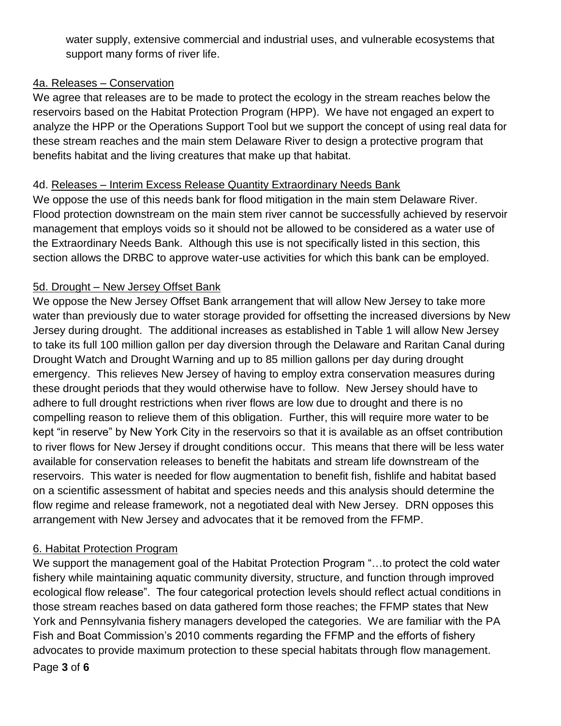water supply, extensive commercial and industrial uses, and vulnerable ecosystems that support many forms of river life.

#### 4a. Releases – Conservation

We agree that releases are to be made to protect the ecology in the stream reaches below the reservoirs based on the Habitat Protection Program (HPP). We have not engaged an expert to analyze the HPP or the Operations Support Tool but we support the concept of using real data for these stream reaches and the main stem Delaware River to design a protective program that benefits habitat and the living creatures that make up that habitat.

### 4d. Releases – Interim Excess Release Quantity Extraordinary Needs Bank

We oppose the use of this needs bank for flood mitigation in the main stem Delaware River. Flood protection downstream on the main stem river cannot be successfully achieved by reservoir management that employs voids so it should not be allowed to be considered as a water use of the Extraordinary Needs Bank. Although this use is not specifically listed in this section, this section allows the DRBC to approve water-use activities for which this bank can be employed.

## 5d. Drought – New Jersey Offset Bank

We oppose the New Jersey Offset Bank arrangement that will allow New Jersey to take more water than previously due to water storage provided for offsetting the increased diversions by New Jersey during drought. The additional increases as established in Table 1 will allow New Jersey to take its full 100 million gallon per day diversion through the Delaware and Raritan Canal during Drought Watch and Drought Warning and up to 85 million gallons per day during drought emergency. This relieves New Jersey of having to employ extra conservation measures during these drought periods that they would otherwise have to follow. New Jersey should have to adhere to full drought restrictions when river flows are low due to drought and there is no compelling reason to relieve them of this obligation. Further, this will require more water to be kept "in reserve" by New York City in the reservoirs so that it is available as an offset contribution to river flows for New Jersey if drought conditions occur. This means that there will be less water available for conservation releases to benefit the habitats and stream life downstream of the reservoirs. This water is needed for flow augmentation to benefit fish, fishlife and habitat based on a scientific assessment of habitat and species needs and this analysis should determine the flow regime and release framework, not a negotiated deal with New Jersey. DRN opposes this arrangement with New Jersey and advocates that it be removed from the FFMP.

# 6. Habitat Protection Program

Page **3** of **6** We support the management goal of the Habitat Protection Program "...to protect the cold water fishery while maintaining aquatic community diversity, structure, and function through improved ecological flow release". The four categorical protection levels should reflect actual conditions in those stream reaches based on data gathered form those reaches; the FFMP states that New York and Pennsylvania fishery managers developed the categories. We are familiar with the PA Fish and Boat Commission's 2010 comments regarding the FFMP and the efforts of fishery advocates to provide maximum protection to these special habitats through flow management.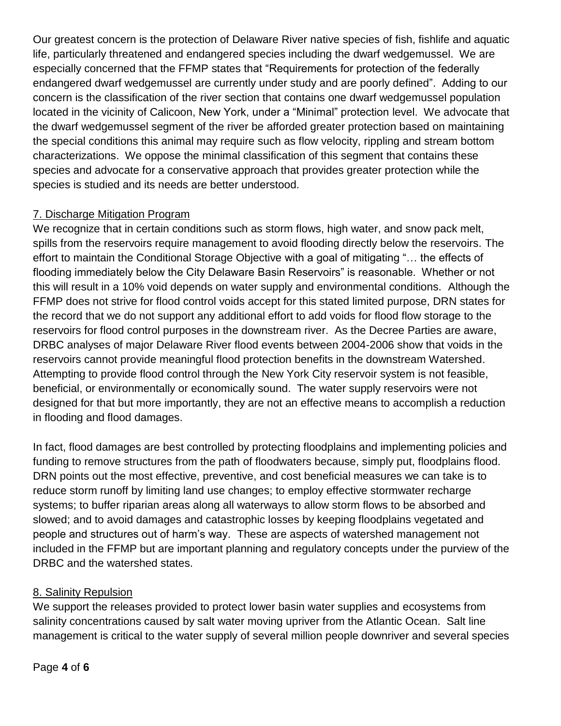Our greatest concern is the protection of Delaware River native species of fish, fishlife and aquatic life, particularly threatened and endangered species including the dwarf wedgemussel. We are especially concerned that the FFMP states that "Requirements for protection of the federally endangered dwarf wedgemussel are currently under study and are poorly defined". Adding to our concern is the classification of the river section that contains one dwarf wedgemussel population located in the vicinity of Calicoon, New York, under a "Minimal" protection level. We advocate that the dwarf wedgemussel segment of the river be afforded greater protection based on maintaining the special conditions this animal may require such as flow velocity, rippling and stream bottom characterizations. We oppose the minimal classification of this segment that contains these species and advocate for a conservative approach that provides greater protection while the species is studied and its needs are better understood.

## 7. Discharge Mitigation Program

We recognize that in certain conditions such as storm flows, high water, and snow pack melt, spills from the reservoirs require management to avoid flooding directly below the reservoirs. The effort to maintain the Conditional Storage Objective with a goal of mitigating "… the effects of flooding immediately below the City Delaware Basin Reservoirs" is reasonable. Whether or not this will result in a 10% void depends on water supply and environmental conditions. Although the FFMP does not strive for flood control voids accept for this stated limited purpose, DRN states for the record that we do not support any additional effort to add voids for flood flow storage to the reservoirs for flood control purposes in the downstream river. As the Decree Parties are aware, DRBC analyses of major Delaware River flood events between 2004-2006 show that voids in the reservoirs cannot provide meaningful flood protection benefits in the downstream Watershed. Attempting to provide flood control through the New York City reservoir system is not feasible, beneficial, or environmentally or economically sound. The water supply reservoirs were not designed for that but more importantly, they are not an effective means to accomplish a reduction in flooding and flood damages.

In fact, flood damages are best controlled by protecting floodplains and implementing policies and funding to remove structures from the path of floodwaters because, simply put, floodplains flood. DRN points out the most effective, preventive, and cost beneficial measures we can take is to reduce storm runoff by limiting land use changes; to employ effective stormwater recharge systems; to buffer riparian areas along all waterways to allow storm flows to be absorbed and slowed; and to avoid damages and catastrophic losses by keeping floodplains vegetated and people and structures out of harm's way. These are aspects of watershed management not included in the FFMP but are important planning and regulatory concepts under the purview of the DRBC and the watershed states.

### 8. Salinity Repulsion

We support the releases provided to protect lower basin water supplies and ecosystems from salinity concentrations caused by salt water moving upriver from the Atlantic Ocean. Salt line management is critical to the water supply of several million people downriver and several species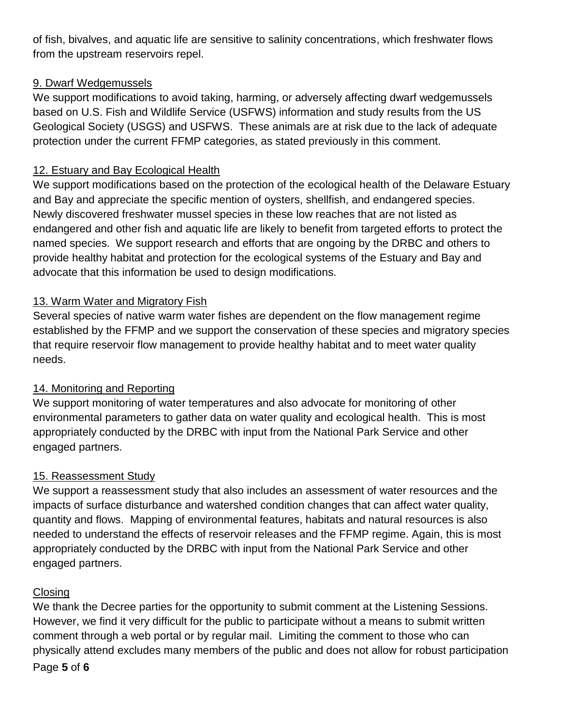of fish, bivalves, and aquatic life are sensitive to salinity concentrations, which freshwater flows from the upstream reservoirs repel.

## 9. Dwarf Wedgemussels

We support modifications to avoid taking, harming, or adversely affecting dwarf wedgemussels based on U.S. Fish and Wildlife Service (USFWS) information and study results from the US Geological Society (USGS) and USFWS. These animals are at risk due to the lack of adequate protection under the current FFMP categories, as stated previously in this comment.

# 12. Estuary and Bay Ecological Health

We support modifications based on the protection of the ecological health of the Delaware Estuary and Bay and appreciate the specific mention of oysters, shellfish, and endangered species. Newly discovered freshwater mussel species in these low reaches that are not listed as endangered and other fish and aquatic life are likely to benefit from targeted efforts to protect the named species. We support research and efforts that are ongoing by the DRBC and others to provide healthy habitat and protection for the ecological systems of the Estuary and Bay and advocate that this information be used to design modifications.

## 13. Warm Water and Migratory Fish

Several species of native warm water fishes are dependent on the flow management regime established by the FFMP and we support the conservation of these species and migratory species that require reservoir flow management to provide healthy habitat and to meet water quality needs.

# 14. Monitoring and Reporting

We support monitoring of water temperatures and also advocate for monitoring of other environmental parameters to gather data on water quality and ecological health. This is most appropriately conducted by the DRBC with input from the National Park Service and other engaged partners.

### 15. Reassessment Study

We support a reassessment study that also includes an assessment of water resources and the impacts of surface disturbance and watershed condition changes that can affect water quality, quantity and flows. Mapping of environmental features, habitats and natural resources is also needed to understand the effects of reservoir releases and the FFMP regime. Again, this is most appropriately conducted by the DRBC with input from the National Park Service and other engaged partners.

### **Closing**

Page **5** of **6** We thank the Decree parties for the opportunity to submit comment at the Listening Sessions. However, we find it very difficult for the public to participate without a means to submit written comment through a web portal or by regular mail. Limiting the comment to those who can physically attend excludes many members of the public and does not allow for robust participation